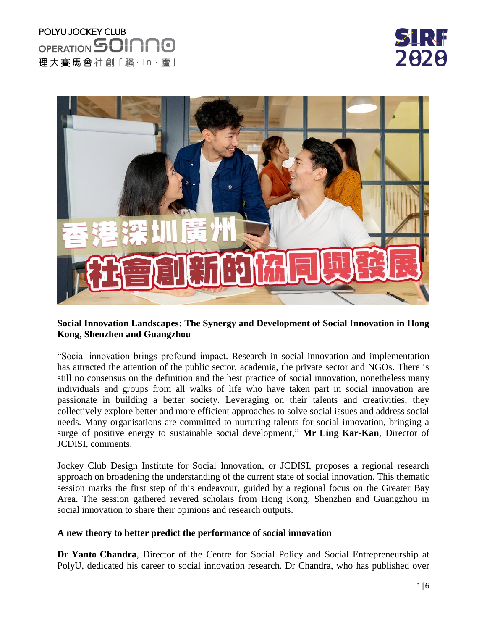## POLYU JOCKEY CLUB OPERATION 50II 理大賽馬會社創「騷·ln·廬」



### **Social Innovation Landscapes: The Synergy and Development of Social Innovation in Hong Kong, Shenzhen and Guangzhou**

"Social innovation brings profound impact. Research in social innovation and implementation has attracted the attention of the public sector, academia, the private sector and NGOs. There is still no consensus on the definition and the best practice of social innovation, nonetheless many individuals and groups from all walks of life who have taken part in social innovation are passionate in building a better society. Leveraging on their talents and creativities, they collectively explore better and more efficient approaches to solve social issues and address social needs. Many organisations are committed to nurturing talents for social innovation, bringing a surge of positive energy to sustainable social development," **Mr Ling Kar-Kan**, Director of JCDISI, comments.

Jockey Club Design Institute for Social Innovation, or JCDISI, proposes a regional research approach on broadening the understanding of the current state of social innovation. This thematic session marks the first step of this endeavour, guided by a regional focus on the Greater Bay Area. The session gathered revered scholars from Hong Kong, Shenzhen and Guangzhou in social innovation to share their opinions and research outputs.

#### **A new theory to better predict the performance of social innovation**

**Dr Yanto Chandra**, Director of the Centre for Social Policy and Social Entrepreneurship at PolyU, dedicated his career to social innovation research. Dr Chandra, who has published over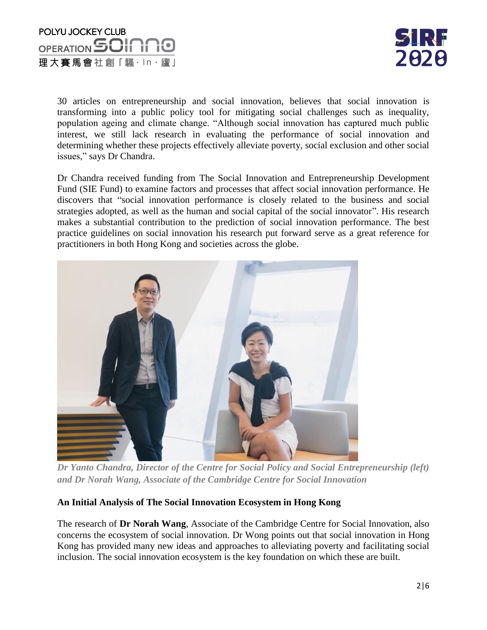



30 articles on entrepreneurship and social innovation, believes that social innovation is transforming into a public policy tool for mitigating social challenges such as inequality, population ageing and climate change. "Although social innovation has captured much public interest, we still lack research in evaluating the performance of social innovation and determining whether these projects effectively alleviate poverty, social exclusion and other social issues," says Dr Chandra.

Dr Chandra received funding from The Social Innovation and Entrepreneurship Development Fund (SIE Fund) to examine factors and processes that affect social innovation performance. He discovers that "social innovation performance is closely related to the business and social strategies adopted, as well as the human and social capital of the social innovator". His research makes a substantial contribution to the prediction of social innovation performance. The best practice guidelines on social innovation his research put forward serve as a great reference for practitioners in both Hong Kong and societies across the globe.



*Dr Yanto Chandra, Director of the Centre for Social Policy and Social Entrepreneurship (left) and Dr Norah Wang, Associate of the Cambridge Centre for Social Innovation*

### **An Initial Analysis of The Social Innovation Ecosystem in Hong Kong**

The research of **Dr Norah Wang**, Associate of the Cambridge Centre for Social Innovation, also concerns the ecosystem of social innovation. Dr Wong points out that social innovation in Hong Kong has provided many new ideas and approaches to alleviating poverty and facilitating social inclusion. The social innovation ecosystem is the key foundation on which these are built.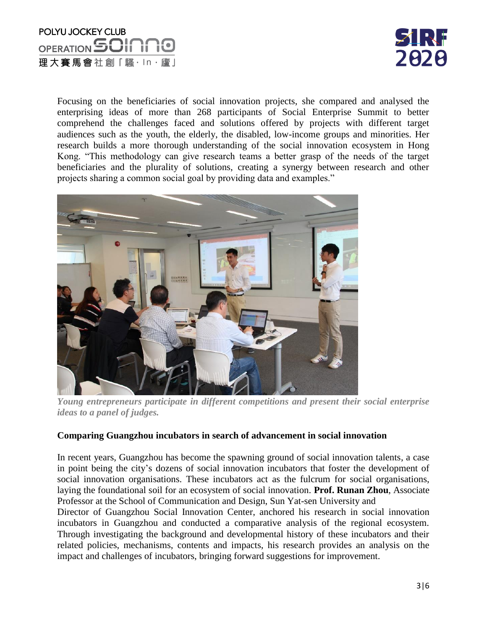### POLYU JOCKEY CLUB OPERATION **SOI** 理大賽馬會社創「騷·ln·廬」



Focusing on the beneficiaries of social innovation projects, she compared and analysed the enterprising ideas of more than 268 participants of Social Enterprise Summit to better comprehend the challenges faced and solutions offered by projects with different target audiences such as the youth, the elderly, the disabled, low-income groups and minorities. Her research builds a more thorough understanding of the social innovation ecosystem in Hong Kong. "This methodology can give research teams a better grasp of the needs of the target beneficiaries and the plurality of solutions, creating a synergy between research and other projects sharing a common social goal by providing data and examples."



*Young entrepreneurs participate in different competitions and present their social enterprise ideas to a panel of judges.*

### **Comparing Guangzhou incubators in search of advancement in social innovation**

In recent years, Guangzhou has become the spawning ground of social innovation talents, a case in point being the city's dozens of social innovation incubators that foster the development of social innovation organisations. These incubators act as the fulcrum for social organisations, laying the foundational soil for an ecosystem of social innovation. **Prof. Runan Zhou**, Associate Professor at the School of Communication and Design, Sun Yat-sen University and

Director of Guangzhou Social Innovation Center, anchored his research in social innovation incubators in Guangzhou and conducted a comparative analysis of the regional ecosystem. Through investigating the background and developmental history of these incubators and their related policies, mechanisms, contents and impacts, his research provides an analysis on the impact and challenges of incubators, bringing forward suggestions for improvement.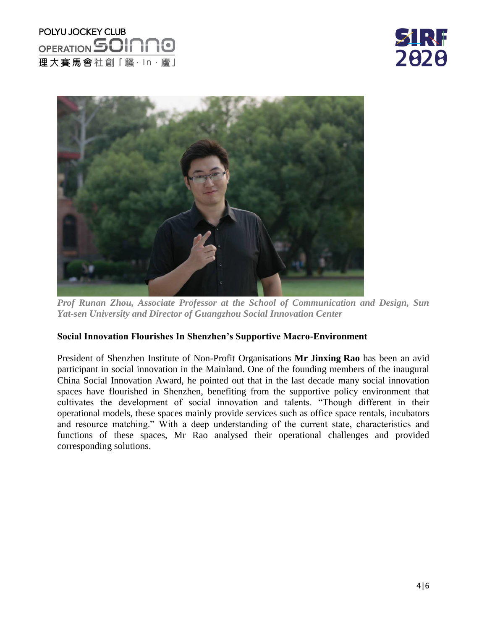# POLYU JOCKEY CLUB OPERATION **50If** 理大賽馬會社創「騷·ln·廬」

**ZIRF** 2020



*Prof Runan Zhou, Associate Professor at the School of Communication and Design, Sun Yat-sen University and Director of Guangzhou Social Innovation Center*

### **Social Innovation Flourishes In Shenzhen's Supportive Macro-Environment**

President of Shenzhen Institute of Non-Profit Organisations **Mr Jinxing Rao** has been an avid participant in social innovation in the Mainland. One of the founding members of the inaugural China Social Innovation Award, he pointed out that in the last decade many social innovation spaces have flourished in Shenzhen, benefiting from the supportive policy environment that cultivates the development of social innovation and talents. "Though different in their operational models, these spaces mainly provide services such as office space rentals, incubators and resource matching." With a deep understanding of the current state, characteristics and functions of these spaces, Mr Rao analysed their operational challenges and provided corresponding solutions.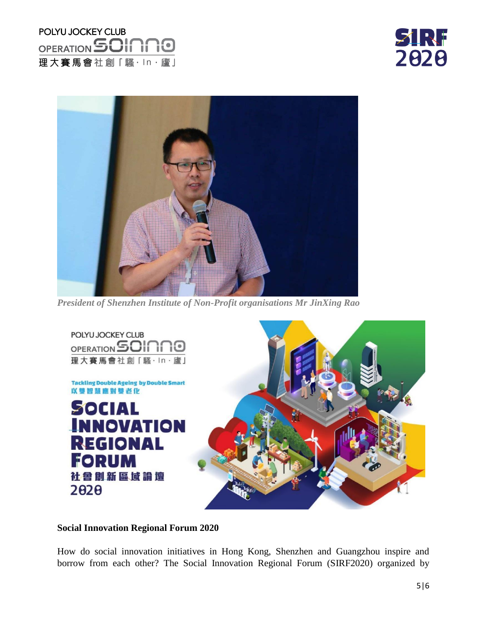# POLYU JOCKEY CLUB OPERATION **SOINNO** 理大賽馬會社創「騷·ln·廬」





*President of Shenzhen Institute of Non-Profit organisations Mr JinXing Rao* 



#### **Social Innovation Regional Forum 2020**

How do social innovation initiatives in Hong Kong, Shenzhen and Guangzhou inspire and borrow from each other? The Social Innovation Regional Forum (SIRF2020) organized by